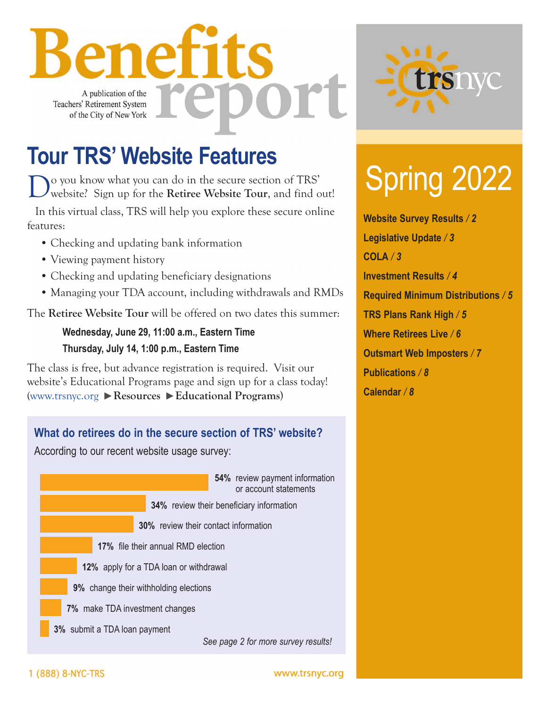nefits Ort A publication of the e Teachers' Retirement System of the City of New York

### **Tour TRS' Website Features**

Do you know what you can do in the secure section of TRS' website? Sign up for the **Retiree Website Tour**, and find out!

In this virtual class, TRS will help you explore these secure online features:

- Checking and updating bank information
- Viewing payment history
- Checking and updating beneficiary designations
- Managing your TDA account, including withdrawals and RMDs

The **Retiree Website Tour** will be offered on two dates this summer:

### **Wednesday, June 29, 11:00 a.m., Eastern Time Thursday, July 14, 1:00 p.m., Eastern Time**

The class is free, but advance registration is required. Visit our website's Educational Programs page and sign up for a class today! [\(www.trsnyc.org](https://www.trsnyc.org) **Resources Educational Programs**)





# Spring 2022

**Website Survey Results** */ 2* **Legislative Update** */ 3* **COLA** */ 3* **Investment Results** */ 4* **Required Minimum Distributions** */ 5* **TRS Plans Rank High** */ 5* **Where Retirees Live** */ 6* **Outsmart Web Imposters** */ 7* **Publications** */ 8* **Calendar** */ 8*

1 (888) 8-NYC-TRS

www.trsnyc.org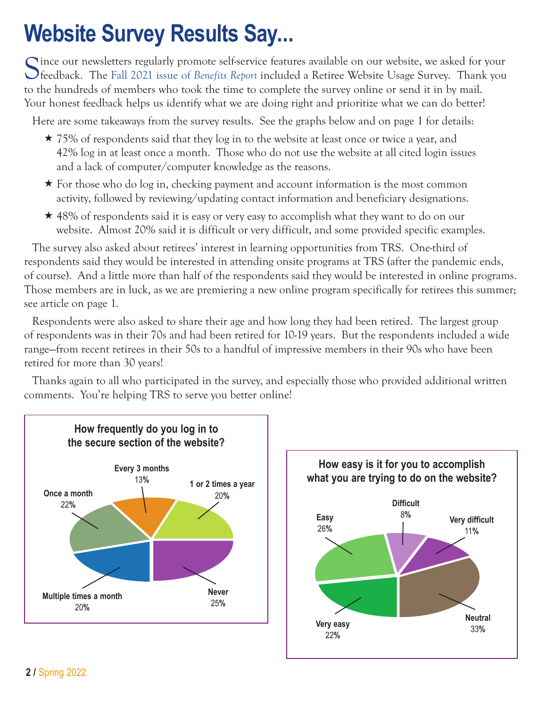### **Website Survey Results Say...**

C ince our newsletters regularly promote self-service features available on our website, we asked for your feedback. The Fall 2021 issue of *Benefits Report* included a Retiree Website Usage Survey. Thank you to the hundreds of members who took the time to complete the survey online or send it in by mail. Your honest feedback helps us identify what we are doing right and prioritize what we can do better!

Here are some takeaways from the survey results. See the graphs below and on page 1 for details:

- $\star$  75% of respondents said that they log in to the website at least once or twice a year, and 42% log in at least once a month. Those who do not use the website at all cited login issues and a lack of computer/computer knowledge as the reasons.
- $\star$  For those who do log in, checking payment and account information is the most common activity, followed by reviewing/updating contact information and beneficiary designations.
- $\star$  48% of respondents said it is easy or very easy to accomplish what they want to do on our website. Almost 20% said it is difficult or very difficult, and some provided specific examples.

The survey also asked about retirees' interest in learning opportunities from TRS. One-third of respondents said they would be interested in attending onsite programs at TRS (after the pandemic ends, of course). And a little more than half of the respondents said they would be interested in online programs. Those members are in luck, as we are premiering a new online program specifically for retirees this summer; see article on page 1.

Respondents were also asked to share their age and how long they had been retired. The largest group of respondents was in their 70s and had been retired for 10-19 years. But the respondents included a wide range—from recent retirees in their 50s to a handful of impressive members in their 90s who have been retired for more than 30 years!

Thanks again to all who participated in the survey, and especially those who provided additional written comments. You're helping TRS to serve you better online!



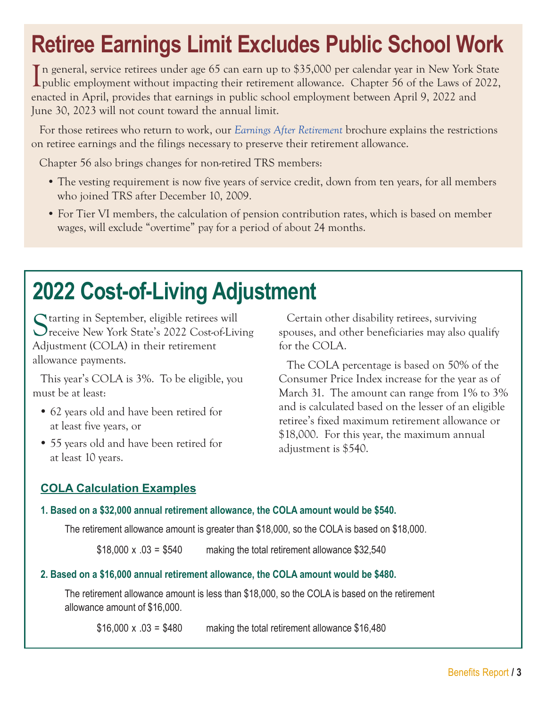### **Retiree Earnings Limit Excludes Public School Work**

In general, service retirees under age 65 can earn up to \$35,000 per calendar year in New York State<br>public employment without impacting their retirement allowance. Chapter 56 of the Laws of 2022, public employment without impacting their retirement allowance. Chapter 56 of the Laws of 2022, enacted in April, provides that earnings in public school employment between April 9, 2022 and June 30, 2023 will not count toward the annual limit.

For those retirees who return to work, our *[Earnings After Retirement](https://www.trsnyc.org/memberportal/WebContent/publications/brochures/Brochure93)* brochure explains the restrictions on retiree earnings and the filings necessary to preserve their retirement allowance.

Chapter 56 also brings changes for non-retired TRS members:

- The vesting requirement is now five years of service credit, down from ten years, for all members who joined TRS after December 10, 2009.
- For Tier VI members, the calculation of pension contribution rates, which is based on member wages, will exclude "overtime" pay for a period of about 24 months.

### **2022 Cost-of-Living Adjustment**

Starting in September, eligible retirees will receive New York State's 2022 Cost-of-Living Adjustment (COLA) in their retirement allowance payments.

This year's COLA is 3%. To be eligible, you must be at least:

- **•** 62 years old and have been retired for at least five years, or
- **•** 55 years old and have been retired for at least 10 years.

Certain other disability retirees, surviving spouses, and other beneficiaries may also qualify for the COLA.

The COLA percentage is based on 50% of the Consumer Price Index increase for the year as of March 31. The amount can range from 1% to 3% and is calculated based on the lesser of an eligible retiree's fixed maximum retirement allowance or \$18,000. For this year, the maximum annual adjustment is \$540.

### **COLA Calculation Examples**

#### **1. Based on a \$32,000 annual retirement allowance, the COLA amount would be \$540.**

The retirement allowance amount is greater than \$18,000, so the COLA is based on \$18,000.

 $$18,000 \times .03 = $540$  making the total retirement allowance  $$32,540$ 

#### **2. Based on a \$16,000 annual retirement allowance, the COLA amount would be \$480.**

The retirement allowance amount is less than \$18,000, so the COLA is based on the retirement allowance amount of \$16,000.

 $$16,000 \times .03 = $480$  making the total retirement allowance  $$16,480$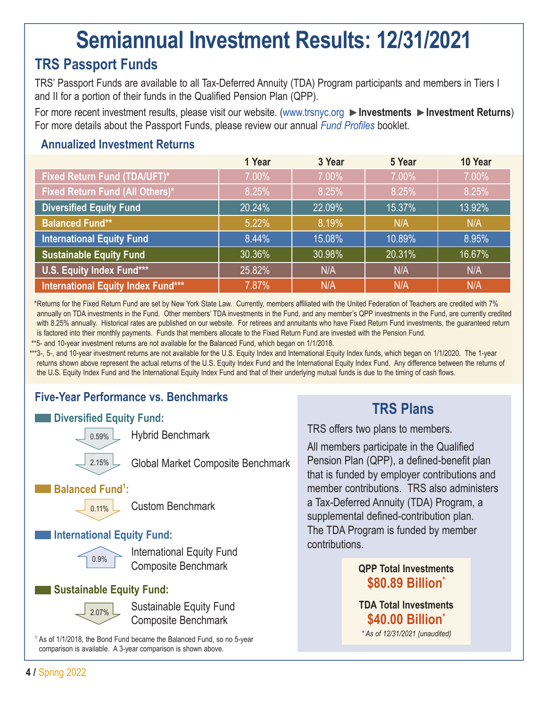### **Semiannual Investment Results: 12/31/2021**

### **TRS Passport Funds**

TRS' Passport Funds are available to all Tax-Deferred Annuity (TDA) Program participants and members in Tiers I and II for a portion of their funds in the Qualified Pension Plan (QPP).

For more recent investment results, please visit our website. [\(www.trsnyc.org](https://www.trsnyc.org) **Investments Investment Returns**) For more details about the Passport Funds, please review our annual *[Fund Profiles](https://www.trsnyc.org/memberportal/WebContent/publications/financialReports/fundProfilesWeb)* booklet.

### **Annualized Investment Returns**

|                                        | 1 Year | 3 Year | 5 Year | 10 Year |
|----------------------------------------|--------|--------|--------|---------|
| Fixed Return Fund (TDA/UFT)*           | 7.00%  | 7.00%  | 7.00%  | 7.00%   |
| <b>Fixed Return Fund (All Others)*</b> | 8.25%  | 8.25%  | 8.25%  | 8.25%   |
| <b>Diversified Equity Fund</b>         | 20.24% | 22.09% | 15.37% | 13.92%  |
| <b>Balanced Fund**</b>                 | 5.22%  | 8.19%  | N/A    | N/A     |
| <b>International Equity Fund</b>       | 8.44%  | 15.08% | 10.89% | 8.95%   |
| <b>Sustainable Equity Fund</b>         | 30.36% | 30.98% | 20.31% | 16.67%  |
| U.S. Equity Index Fund***              | 25.82% | N/A    | N/A    | N/A     |
| International Equity Index Fund***     | 7.87%  | N/A    | N/A    | N/A     |

 *\**Returns for the Fixed Return Fund are set by New York State Law. Currently, members affiliated with the United Federation of Teachers are credited with 7% annually on TDA investments in the Fund. Other members' TDA investments in the Fund, and any member's QPP investments in the Fund, are currently credited with 8.25% annually. Historical rates are published on our website. For retirees and annuitants who have Fixed Return Fund investments, the guaranteed return is factored into their monthly payments. Funds that members allocate to the Fixed Return Fund are invested with the Pension Fund.

\*\*5- and 10-year investment returns are not available for the Balanced Fund, which began on 1/1/2018.

\*\*\*3-, 5-, and 10-year investment returns are not available for the U.S. Equity Index and International Equity Index funds, which began on 1/1/2020. The 1-year returns shown above represent the actual returns of the U.S. Equity Index Fund and the International Equity Index Fund. Any difference between the returns of the U.S. Equity Index Fund and the International Equity Index Fund and that of their underlying mutual funds is due to the timing of cash flows.

### **Five-Year Performance vs. Benchmarks**

### **Diversified Equity Fund:**



Hybrid Benchmark

Global Market Composite Benchmark

#### Balanced Fund<sup>1</sup>:



Custom Benchmark

### **International Equity Fund:**



 International Equity Fund Composite Benchmark

### **Sustainable Equity Fund:**



 Sustainable Equity Fund Composite Benchmark

<sup>1</sup> As of 1/1/2018, the Bond Fund became the Balanced Fund, so no 5-year comparison is available. A 3-year comparison is shown above.

### **TRS Plans**

TRS offers two plans to members.

All members participate in the Qualified Pension Plan (QPP), a defined-benefit plan that is funded by employer contributions and member contributions. TRS also administers a Tax-Deferred Annuity (TDA) Program, a supplemental defined-contribution plan. The TDA Program is funded by member contributions.

### **QPP Total Investments \$80.89 Billion\***

**TDA Total Investments \$40.00 Billion\*** *\* As of 12/31/2021 (unaudited)*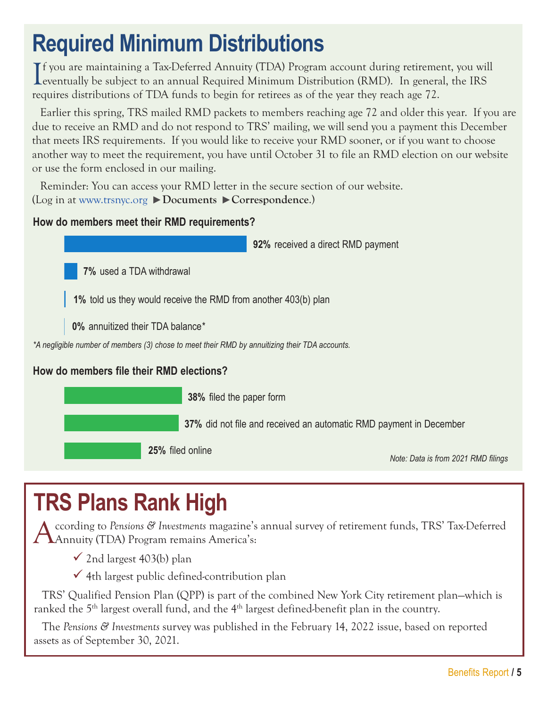### **Required Minimum Distributions**

If you are maintaining a Tax-Deferred Annuity (TDA) Program account during retirement, you wi<br>eventually be subject to an annual Required Minimum Distribution (RMD). In general, the IRS **T** f you are maintaining a Tax-Deferred Annuity (TDA) Program account during retirement, you will requires distributions of TDA funds to begin for retirees as of the year they reach age 72.

Earlier this spring, TRS mailed RMD packets to members reaching age 72 and older this year. If you are due to receive an RMD and do not respond to TRS' mailing, we will send you a payment this December that meets IRS requirements. If you would like to receive your RMD sooner, or if you want to choose another way to meet the requirement, you have until October 31 to file an RMD election on our website or use the form enclosed in our mailing.

Reminder: You can access your RMD letter in the secure section of our website. (Log in at [www.trsnyc.org](https://www.trsnyc.org) **Documents Correspondence**.)

### **How do members meet their RMD requirements?**

**92%** received a direct RMD payment

**7%** used a TDA withdrawal

**1%** told us they would receive the RMD from another 403(b) plan

**0%** annuitized their TDA balance\*

*\*A negligible number of members (3) chose to meet their RMD by annuitizing their TDA accounts.*

### **How do members file their RMD elections?**

**38%** filed the paper form

**37%** did not file and received an automatic RMD payment in December

**25%** filed online

*Note: Data is from 2021 RMD filings*

### **TRS Plans Rank High**

According to *Pensions & Investments* magazine's annual survey of retirement funds, TRS' Tax-Deferred Annuity (TDA) Program remains America's:

 $\checkmark$  2nd largest 403(b) plan

 $\checkmark$  4th largest public defined-contribution plan

TRS' Qualified Pension Plan (QPP) is part of the combined New York City retirement plan—which is ranked the 5<sup>th</sup> largest overall fund, and the 4<sup>th</sup> largest defined-benefit plan in the country.

The *Pensions & Investments* survey was published in the February 14, 2022 issue, based on reported assets as of September 30, 2021.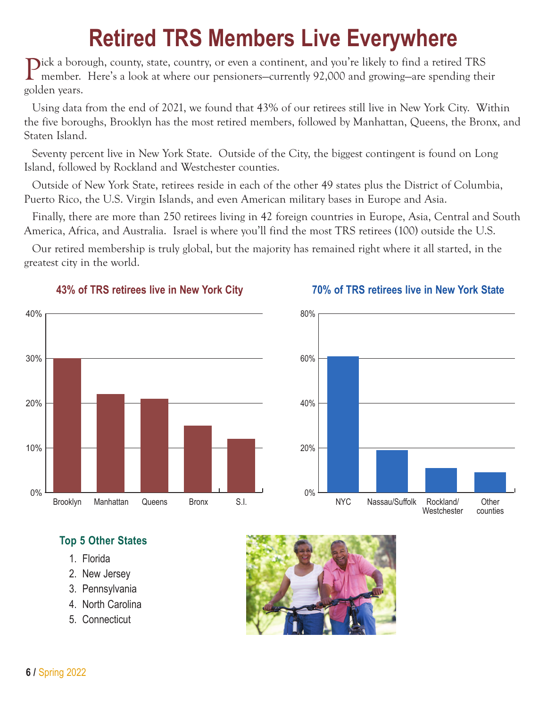### **Retired TRS Members Live Everywhere**

Pick a borough, county, state, country, or even a continent, and you're likely to find a retired TRS member. Here's a look at where our pensioners—currently 92,000 and growing—are spending their golden years.

Using data from the end of 2021, we found that 43% of our retirees still live in New York City. Within the five boroughs, Brooklyn has the most retired members, followed by Manhattan, Queens, the Bronx, and Staten Island.

Seventy percent live in New York State. Outside of the City, the biggest contingent is found on Long Island, followed by Rockland and Westchester counties.

Outside of New York State, retirees reside in each of the other 49 states plus the District of Columbia, Puerto Rico, the U.S. Virgin Islands, and even American military bases in Europe and Asia.

Finally, there are more than 250 retirees living in 42 foreign countries in Europe, Asia, Central and South America, Africa, and Australia. Israel is where you'll find the most TRS retirees (100) outside the U.S.

Our retired membership is truly global, but the majority has remained right where it all started, in the greatest city in the world.





#### **43% of TRS retirees live in New York City 70% of TRS retirees live in New York State**

### **Top 5 Other States**

- 1. Florida
- 2. New Jersey
- 3. Pennsylvania
- 4. North Carolina
- 5. Connecticut

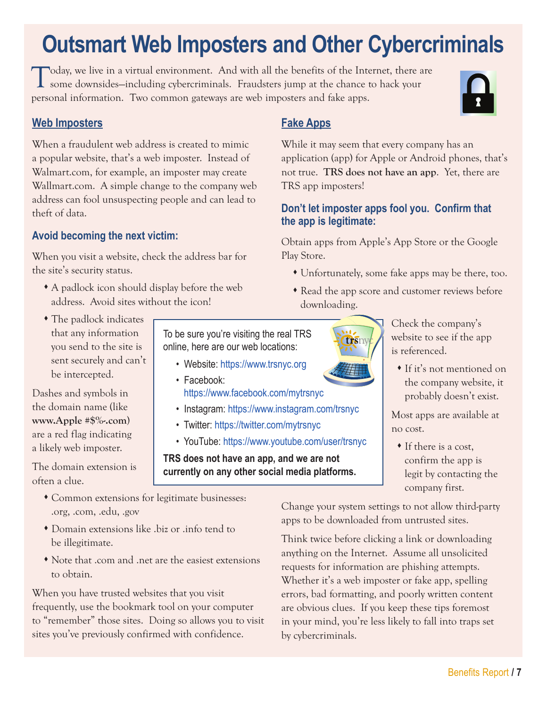## **Outsmart Web Imposters and Other Cybercriminals**

Today, we live in a virtual environment. And with all the benefits of the Internet, there are some downsides—including cybercriminals. Fraudsters jump at the chance to hack your personal information. Two common gateways are web imposters and fake apps.

#### **Web Imposters**

When a fraudulent web address is created to mimic a popular website, that's a web imposter. Instead of Walmart.com, for example, an imposter may create Wallmart.com. A simple change to the company web address can fool unsuspecting people and can lead to theft of data.

### **Avoid becoming the next victim:**

When you visit a website, check the address bar for the site's security status.

- A padlock icon should display before the web address. Avoid sites without the icon!
- The padlock indicates that any information you send to the site is sent securely and can't be intercepted.

Dashes and symbols in the domain name (like **www.Apple #\$%-.com**) are a red flag indicating a likely web imposter.

The domain extension is often a clue.

- To be sure you're visiting the real TRS online, here are our web locations:
	- Website: https:[//www.trsnyc.org](https://www.trsnyc.org)
	- Facebook: <https://www.facebook.com/mytrsnyc>
	- Instagram:<https://www.instagram.com/trsnyc>
	- Twitter:<https://twitter.com/mytrsnyc>
	- YouTube:<https://www.youtube.com/user/trsnyc>

**TRS does not have an app, and we are not currently on any other social media platforms.**

- Common extensions for legitimate businesses: .org, .com, .edu, .gov
- Domain extensions like .biz or .info tend to be illegitimate.
- Note that .com and .net are the easiest extensions to obtain.

When you have trusted websites that you visit frequently, use the bookmark tool on your computer to "remember" those sites. Doing so allows you to visit sites you've previously confirmed with confidence.

### **Fake Apps**

While it may seem that every company has an application (app) for Apple or Android phones, that's not true. **TRS does not have an app**. Yet, there are TRS app imposters!

#### **Don't let imposter apps fool you. Confirm that the app is legitimate:**

Obtain apps from Apple's App Store or the Google Play Store.

- Unfortunately, some fake apps may be there, too.
- Read the app score and customer reviews before downloading.

Check the company's website to see if the app is referenced.

 If it's not mentioned on the company website, it probably doesn't exist.

Most apps are available at no cost.

 If there is a cost, confirm the app is legit by contacting the company first.

Change your system settings to not allow third-party apps to be downloaded from untrusted sites.

Think twice before clicking a link or downloading anything on the Internet. Assume all unsolicited requests for information are phishing attempts. Whether it's a web imposter or fake app, spelling errors, bad formatting, and poorly written content are obvious clues. If you keep these tips foremost in your mind, you're less likely to fall into traps set by cybercriminals.